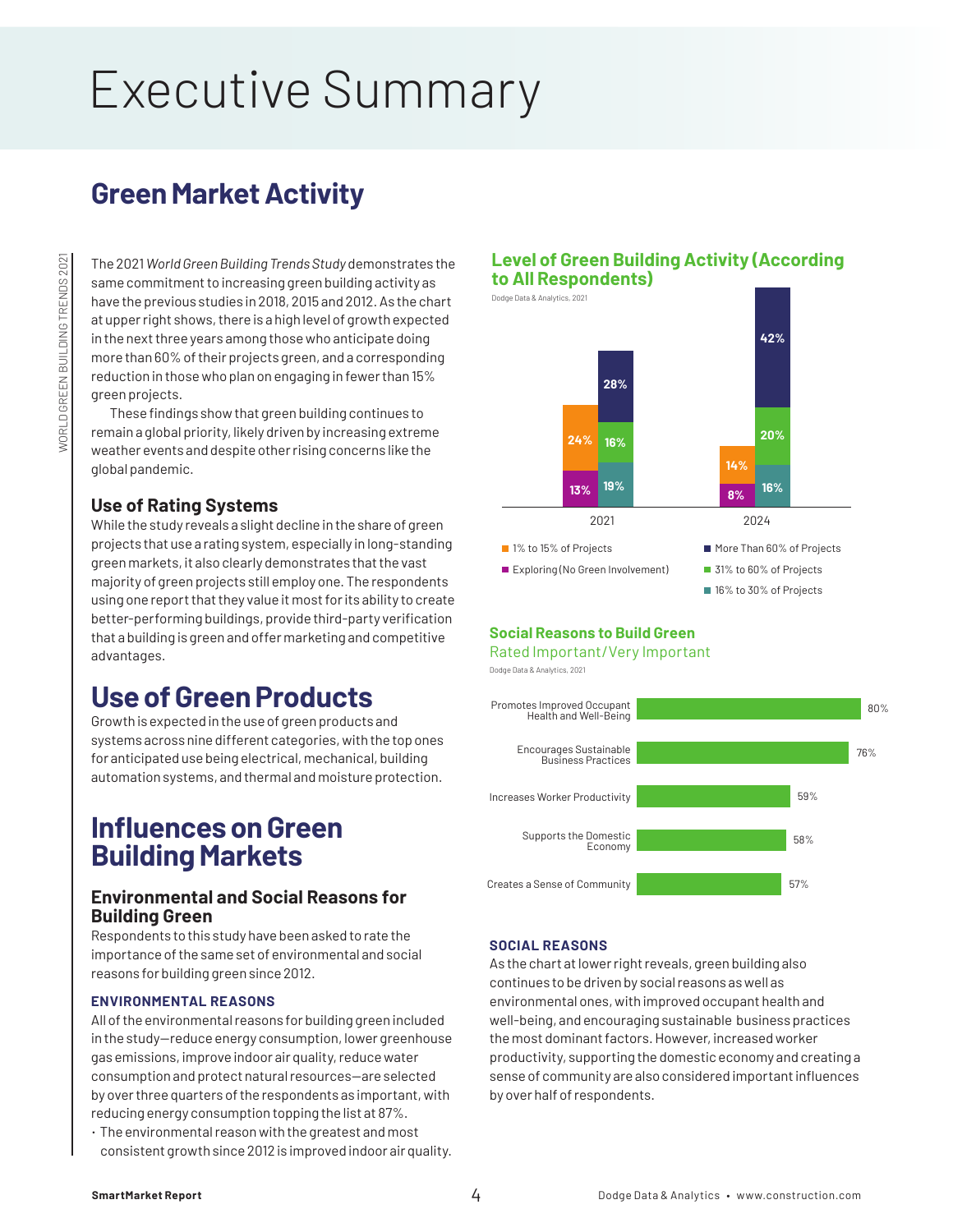# Executive Summary

# **Green Market Activity**

The 2021 *World Green Building Trends Study* demonstrates the same commitment to increasing green building activity as have the previous studies in 2018, 2015 and 2012. As the chart at upper right shows, there is a high level of growth expected in the next three years among those who anticipate doing more than 60% of their projects green, and a corresponding reduction in those who plan on engaging in fewer than 15% green projects.

These findings show that green building continues to remain a global priority, likely driven by increasing extreme weather events and despite other rising concerns like the global pandemic.

## **Use of Rating Systems**

While the study reveals a slight decline in the share of green projects that use a rating system, especially in long-standing green markets, it also clearly demonstrates that the vast majority of green projects still employ one. The respondents using one report that they value it most for its ability to create better-performing buildings, provide third-party verification that a building is green and offer marketing and competitive advantages.

# **Use of Green Products**

Growth is expected in the use of green products and systems across nine different categories, with the top ones for anticipated use being electrical, mechanical, building automation systems, and thermal and moisture protection.

# **Influences on Green Building Markets**

## **Environmental and Social Reasons for Building Green**

Respondents to this study have been asked to rate the importance of the same set of environmental and social reasons for building green since 2012.

#### **ENVIRONMENTAL REASONS**

All of the environmental reasons for building green included in the study—reduce energy consumption, lower greenhouse gas emissions, improve indoor air quality, reduce water consumption and protect natural resources—are selected by over three quarters of the respondents as important, with reducing energy consumption topping the list at 87%.

• The environmental reason with the greatest and most consistent growth since 2012 is improved indoor air quality.

### **Level of Green Building Activity (According to All Respondents)**

Dodge Data & Analytics, 2021 ■ 1% to 15% of Projects Exploring (No Green Involvement) More Than 60% of Projects ■ 31% to 60% of Projects ■ 16% to 30% of Projects 2021 2024 **24% 13% 8% 16% 19% 28% 14% 20% 16% 42%**

#### **Social Reasons to Build Green**

Rated Important/Very Important

Dodge Data & Analytics, 2021



#### **SOCIAL REASONS**

As the chart at lower right reveals, green building also continues to be driven by social reasons as well as environmental ones, with improved occupant health and well-being, and encouraging sustainable business practices the most dominant factors. However, increased worker productivity, supporting the domestic economy and creating a sense of community are also considered important influences by over half of respondents.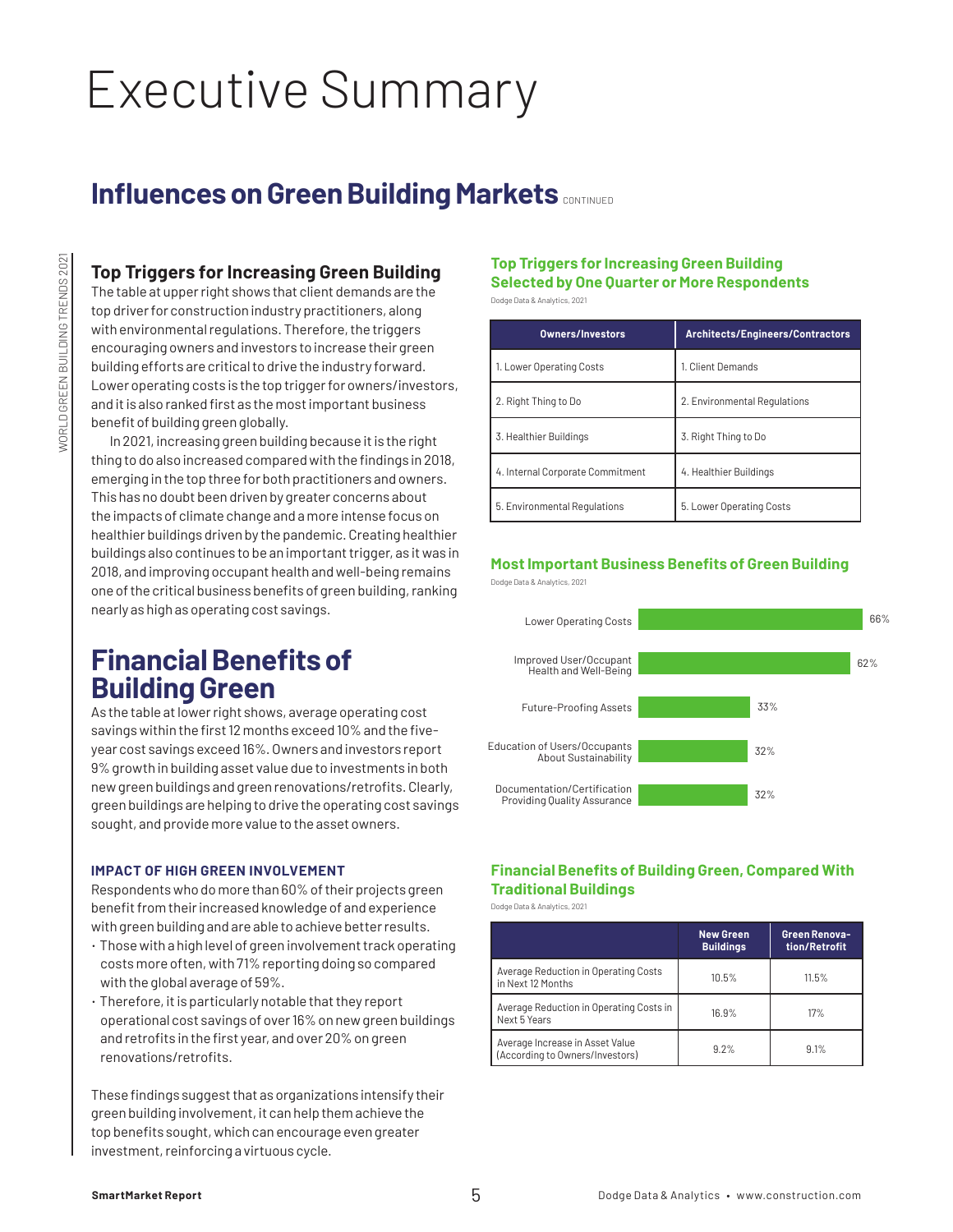# Executive Summary

# **Influences on Green Building Markets CONTINUED**

## **Top Triggers for Increasing Green Building**

The table at upper right shows that client demands are the top driver for construction industry practitioners, along with environmental regulations. Therefore, the triggers encouraging owners and investors to increase their green building efforts are critical to drive the industry forward. Lower operating costs is the top trigger for owners/investors, and it is also ranked first as the most important business benefit of building green globally.

In 2021, increasing green building because it is the right thing to do also increased compared with the findings in 2018, emerging in the top three for both practitioners and owners. This has no doubt been driven by greater concerns about the impacts of climate change and a more intense focus on healthier buildings driven by the pandemic. Creating healthier buildings also continues to be an important trigger, as it was in 2018, and improving occupant health and well-being remains one of the critical business benefits of green building, ranking nearly as high as operating cost savings.

# **Financial Benefits of Building Green**

As the table at lower right shows, average operating cost savings within the first 12 months exceed 10% and the fiveyear cost savings exceed 16%. Owners and investors report 9% growth in building asset value due to investments in both new green buildings and green renovations/retrofits. Clearly, green buildings are helping to drive the operating cost savings sought, and provide more value to the asset owners.

#### **IMPACT OF HIGH GREEN INVOLVEMENT**

Respondents who do more than 60% of their projects green benefit from their increased knowledge of and experience with green building and are able to achieve better results.

- Those with a high level of green involvement track operating costs more often, with 71% reporting doing so compared with the global average of 59%.
- Therefore, it is particularly notable that they report operational cost savings of over 16% on new green buildings and retrofits in the first year, and over 20% on green renovations/retrofits.

These findings suggest that as organizations intensify their green building involvement, it can help them achieve the top benefits sought, which can encourage even greater investment, reinforcing a virtuous cycle.

### **Top Triggers for Increasing Green Building Selected by One Quarter or More Respondents**

Dodge Data & Analytics, 2021

| <b>Owners/Investors</b>          | <b>Architects/Engineers/Contractors</b> |  |
|----------------------------------|-----------------------------------------|--|
| 1. Lower Operating Costs         | 1. Client Demands                       |  |
| 2. Right Thing to Do             | 2. Environmental Regulations            |  |
| 3. Healthier Buildings           | 3. Right Thing to Do                    |  |
| 4. Internal Corporate Commitment | 4. Healthier Buildings                  |  |

5. Environmental Regulations 5. Lower Operating Costs

#### **Most Important Business Benefits of Green Building** Dodge Data & Analytics, 2021



### **Financial Benefits of Building Green, Compared With Traditional Buildings**

Dodge Data & Analytics, 2021

|                                                                    | <b>New Green</b><br><b>Buildings</b> | Green Renova-<br>tion/Retrofit |
|--------------------------------------------------------------------|--------------------------------------|--------------------------------|
| Average Reduction in Operating Costs<br>in Next 12 Months          | 10.5%                                | 11.5%                          |
| Average Reduction in Operating Costs in<br>Next 5 Years            | 16.9%                                | 17%                            |
| Average Increase in Asset Value<br>(According to Owners/Investors) | 9.2%                                 | 9.1%                           |